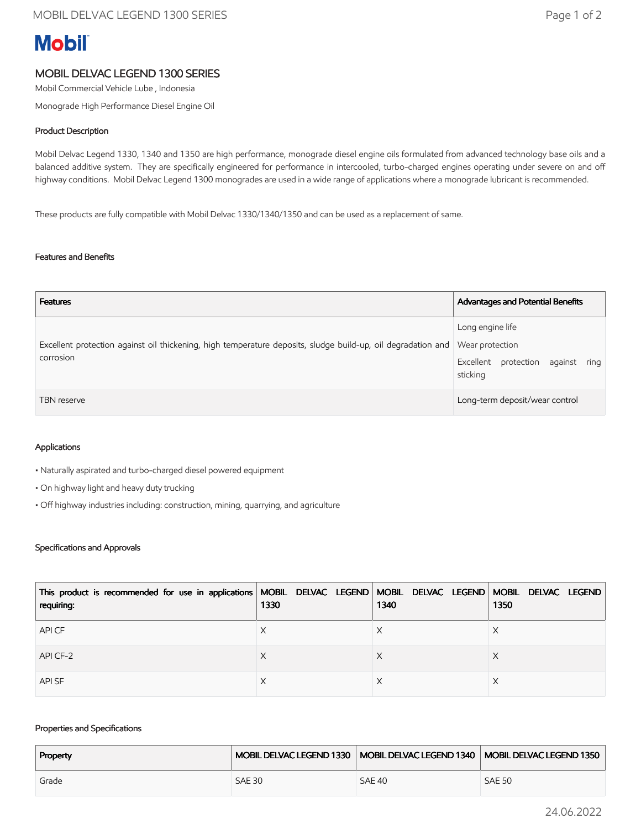# **Mobil**

## MOBIL DELVAC LEGEND 1300 SERIES

Mobil Commercial Vehicle Lube , Indonesia

Monograde High Performance Diesel Engine Oil

#### Product Description

Mobil Delvac Legend 1330, 1340 and 1350 are high performance, monograde diesel engine oils formulated from advanced technology base oils and a balanced additive system. They are specifically engineered for performance in intercooled, turbo-charged engines operating under severe on and off highway conditions. Mobil Delvac Legend 1300 monogrades are used in a wide range of applications where a monograde lubricant is recommended.

These products are fully compatible with Mobil Delvac 1330/1340/1350 and can be used as a replacement of same.

#### Features and Benefits

| <b>Features</b>                                                                                                                           | Advantages and Potential Benefits                                 |
|-------------------------------------------------------------------------------------------------------------------------------------------|-------------------------------------------------------------------|
| Excellent protection against oil thickening, high temperature deposits, sludge build-up, oil degradation and Wear protection<br>corrosion | Long engine life<br>Excellent protection against ring<br>sticking |
| TBN reserve                                                                                                                               | Long-term deposit/wear control                                    |

#### Applications

• Naturally aspirated and turbo-charged diesel powered equipment

- On highway light and heavy duty trucking
- Off highway industries including: construction, mining, quarrying, and agriculture

#### Specifications and Approvals

| This product is recommended for use in applications   MOBIL DELVAC LEGEND   MOBIL DELVAC LEGEND   MOBIL DELVAC LEGEND<br>requiring: | 1330 | 1340 | 1350 |
|-------------------------------------------------------------------------------------------------------------------------------------|------|------|------|
| API CF                                                                                                                              |      |      |      |
| API CF-2                                                                                                                            |      |      | X    |
| <b>APISF</b>                                                                                                                        |      |      |      |

#### Properties and Specifications

| Property |               |               | MOBIL DELVAC LEGEND 1330   MOBIL DELVAC LEGEND 1340   MOBIL DELVAC LEGEND 1350 |
|----------|---------------|---------------|--------------------------------------------------------------------------------|
| Grade    | <b>SAE 30</b> | <b>SAE 40</b> | <b>SAE 50</b>                                                                  |